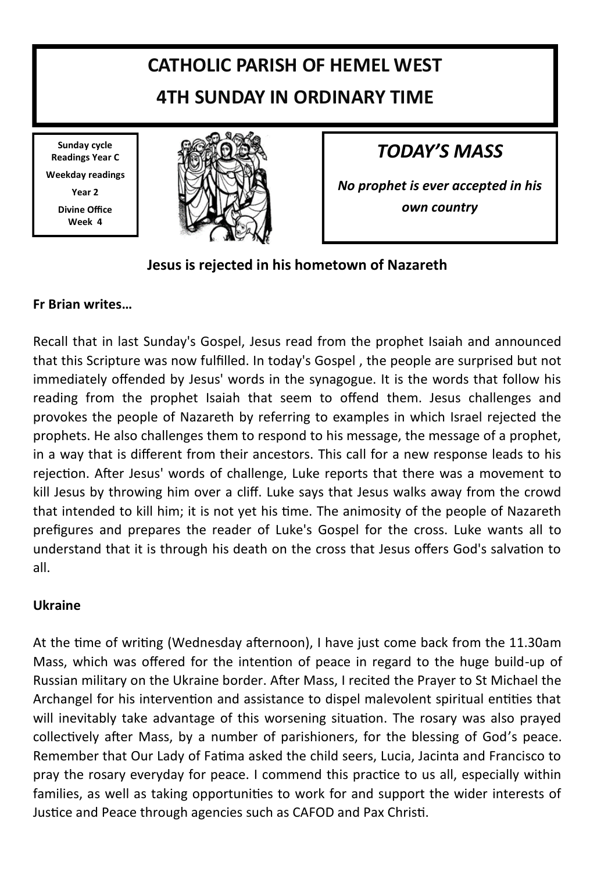# **CATHOLIC PARISH OF HEMEL WEST 4TH SUNDAY IN ORDINARY TIME**

**Sunday cycle Readings Year C Weekday readings Year 2 Divine Office Week 4**



# *TODAY'S MASS*

*No prophet is ever accepted in his own country*

## **Jesus is rejected in his hometown of Nazareth**

## **Fr Brian writes…**

Recall that in last Sunday's Gospel, Jesus read from the prophet Isaiah and announced that this Scripture was now fulfilled. In today's Gospel , the people are surprised but not immediately offended by Jesus' words in the synagogue. It is the words that follow his reading from the prophet Isaiah that seem to offend them. Jesus challenges and provokes the people of Nazareth by referring to examples in which Israel rejected the prophets. He also challenges them to respond to his message, the message of a prophet, in a way that is different from their ancestors. This call for a new response leads to his rejection. After Jesus' words of challenge, Luke reports that there was a movement to kill Jesus by throwing him over a cliff. Luke says that Jesus walks away from the crowd that intended to kill him; it is not yet his time. The animosity of the people of Nazareth prefigures and prepares the reader of Luke's Gospel for the cross. Luke wants all to understand that it is through his death on the cross that Jesus offers God's salvation to all.

### **Ukraine**

At the time of writing (Wednesday afternoon), I have just come back from the 11.30am Mass, which was offered for the intention of peace in regard to the huge build-up of Russian military on the Ukraine border. After Mass, I recited the Prayer to St Michael the Archangel for his intervention and assistance to dispel malevolent spiritual entities that will inevitably take advantage of this worsening situation. The rosary was also prayed collectively after Mass, by a number of parishioners, for the blessing of God's peace. Remember that Our Lady of Fatima asked the child seers, Lucia, Jacinta and Francisco to pray the rosary everyday for peace. I commend this practice to us all, especially within families, as well as taking opportunities to work for and support the wider interests of Justice and Peace through agencies such as CAFOD and Pax Christi.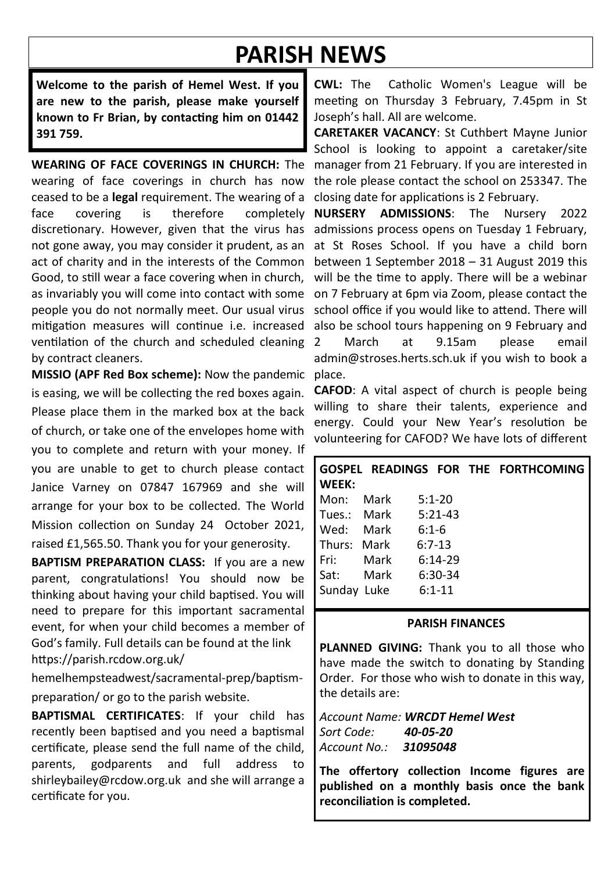# **PARISH NEWS**

**Welcome to the parish of Hemel West. If you are new to the parish, please make yourself known to Fr Brian, by contacting him on 01442 391 759.**

**WEARING OF FACE COVERINGS IN CHURCH:** The wearing of face coverings in church has now ceased to be a **legal** requirement. The wearing of a face covering is therefore completely discretionary. However, given that the virus has not gone away, you may consider it prudent, as an act of charity and in the interests of the Common Good, to still wear a face covering when in church, as invariably you will come into contact with some people you do not normally meet. Our usual virus mitigation measures will continue i.e. increased ventilation of the church and scheduled cleaning by contract cleaners.

**MISSIO (APF Red Box scheme):** Now the pandemic is easing, we will be collecting the red boxes again. Please place them in the marked box at the back of church, or take one of the envelopes home with you to complete and return with your money. If you are unable to get to church please contact Janice Varney on 07847 167969 and she will arrange for your box to be collected. The World Mission collection on Sunday 24 October 2021, raised £1,565.50. Thank you for your generosity.

**BAPTISM PREPARATION CLASS:** If you are a new parent, congratulations! You should now be thinking about having your child baptised. You will need to prepare for this important sacramental event, for when your child becomes a member of God's family. Full details can be found at the link https://parish.rcdow.org.uk/

hemelhempsteadwest/sacramental-prep/baptismpreparation/ or go to the parish website.

**BAPTISMAL CERTIFICATES**: If your child has recently been baptised and you need a baptismal certificate, please send the full name of the child, parents, godparents and full address to shirleybailey@rcdow.org.uk and she will arrange a certificate for you.

**CWL:** The Catholic Women's League will be meeting on Thursday 3 February, 7.45pm in St Joseph's hall. All are welcome.

**CARETAKER VACANCY**: St Cuthbert Mayne Junior School is looking to appoint a caretaker/site manager from 21 February. If you are interested in the role please contact the school on 253347. The closing date for applications is 2 February.

**NURSERY ADMISSIONS**: The Nursery 2022 admissions process opens on Tuesday 1 February, at St Roses School. If you have a child born between 1 September 2018 – 31 August 2019 this will be the time to apply. There will be a webinar on 7 February at 6pm via Zoom, please contact the school office if you would like to attend. There will also be school tours happening on 9 February and March at 9.15am please email admin@stroses.herts.sch.uk if you wish to book a place.

**CAFOD**: A vital aspect of church is people being willing to share their talents, experience and energy. Could your New Year's resolution be volunteering for CAFOD? We have lots of different

| WEEK:       |                     |            | GOSPEL READINGS FOR THE FORTHCOMING |
|-------------|---------------------|------------|-------------------------------------|
| Mon:        | Mark                | $5:1 - 20$ |                                     |
|             | Tues.: Mark 5:21-43 |            |                                     |
| Wed:        | Mark                | $6:1-6$    |                                     |
| Thurs: Mark |                     | $6:7-13$   |                                     |
| Fri: I      | Mark                | $6:14-29$  |                                     |
| Sat:        | Mark                | 6:30-34    |                                     |
| Sunday Luke |                     | $6:1 - 11$ |                                     |

#### **PARISH FINANCES**

**PLANNED GIVING:** Thank you to all those who have made the switch to donating by Standing Order. For those who wish to donate in this way, the details are:

*Account Name: WRCDT Hemel West Sort Code: 40-05-20 Account No.: 31095048*

**The offertory collection Income figures are published on a monthly basis once the bank reconciliation is completed.**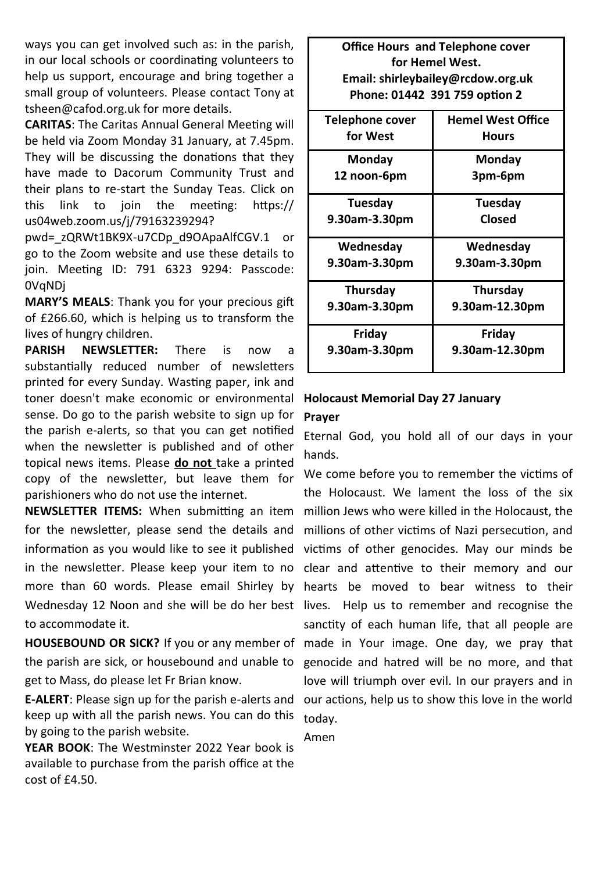ways you can get involved such as: in the parish, in our local schools or coordinating volunteers to help us support, encourage and bring together a small group of volunteers. Please contact Tony at tsheen@cafod.org.uk for more details.

**CARITAS**: The Caritas Annual General Meeting will be held via Zoom Monday 31 January, at 7.45pm. They will be discussing the donations that they have made to Dacorum Community Trust and their plans to re-start the Sunday Teas. Click on this link to join the meeting: https:// us04web.zoom.us/j/79163239294?

pwd=\_zQRWt1BK9X-u7CDp\_d9OApaAlfCGV.1 or go to the Zoom website and use these details to join. Meeting ID: 791 6323 9294: Passcode: 0VqNDj

**MARY'S MEALS**: Thank you for your precious gift of £266.60, which is helping us to transform the lives of hungry children.

**PARISH NEWSLETTER:** There is now a substantially reduced number of newsletters printed for every Sunday. Wasting paper, ink and toner doesn't make economic or environmental sense. Do go to the parish website to sign up for the parish e-alerts, so that you can get notified when the newsletter is published and of other topical news items. Please **do not** take a printed copy of the newsletter, but leave them for parishioners who do not use the internet.

**NEWSLETTER ITEMS:** When submitting an item for the newsletter, please send the details and information as you would like to see it published victims of other genocides. May our minds be in the newsletter. Please keep your item to no clear and attentive to their memory and our more than 60 words. Please email Shirley by hearts be moved to bear witness to their Wednesday 12 Noon and she will be do her best lives. Help us to remember and recognise the to accommodate it.

**HOUSEBOUND OR SICK?** If you or any member of made in Your image. One day, we pray that the parish are sick, or housebound and unable to genocide and hatred will be no more, and that get to Mass, do please let Fr Brian know.

**E-ALERT**: Please sign up for the parish e-alerts and our actions, help us to show this love in the world keep up with all the parish news. You can do this by going to the parish website.

**YEAR BOOK**: The Westminster 2022 Year book is available to purchase from the parish office at the  $cost of f4.50$ 

**Office Hours and Telephone cover for Hemel West. Email: shirleybailey@rcdow.org.uk Phone: 01442 391 759 option 2**

| <b>Telephone cover</b> | <b>Hemel West Office</b> |
|------------------------|--------------------------|
| for West               | Hours                    |
| Monday                 | Monday                   |
| 12 noon-6pm            | 3pm-6pm                  |
| Tuesdav                | Tuesday                  |
| 9.30am-3.30pm          | Closed                   |
| Wednesday              | Wednesday                |
| 9.30am-3.30pm          | 9.30am-3.30pm            |
| Thursday               | Thursday                 |
| 9.30am-3.30pm          | 9.30am-12.30pm           |
| Friday                 | Friday                   |
| 9.30am-3.30pm          | 9.30am-12.30pm           |

### **Holocaust Memorial Day 27 January Prayer**

Eternal God, you hold all of our days in your hands.

We come before you to remember the victims of the Holocaust. We lament the loss of the six million Jews who were killed in the Holocaust, the millions of other victims of Nazi persecution, and sanctity of each human life, that all people are love will triumph over evil. In our prayers and in today.

Amen